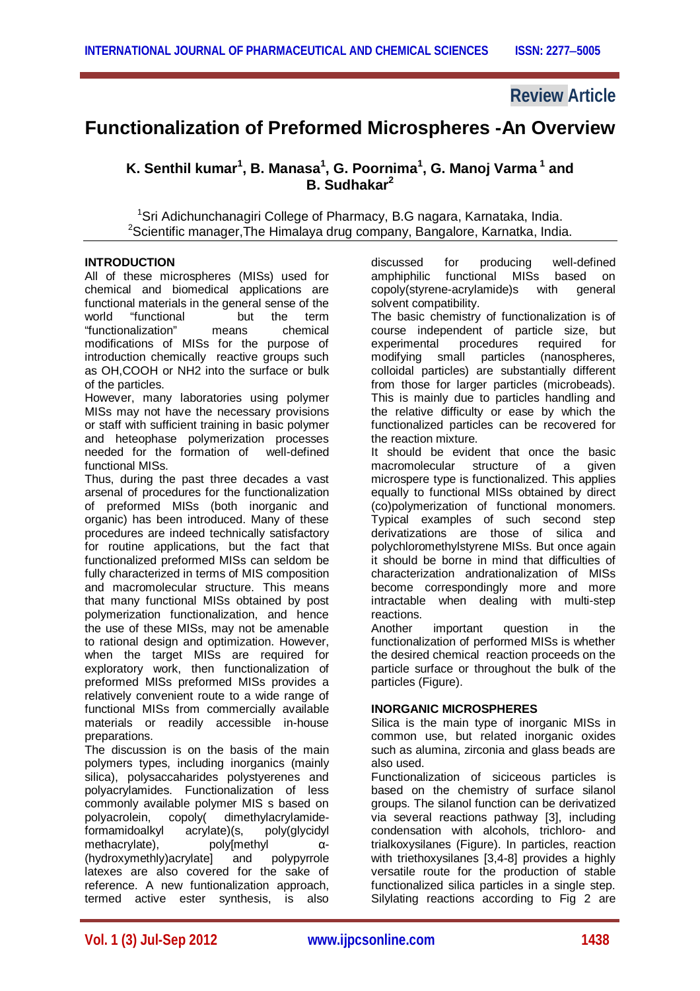# **Review Article**

# **Functionalization of Preformed Microspheres -An Overview**

 $K$ . Senthil kumar<sup>1</sup>, B. Manasa<sup>1</sup>, G. Poornima<sup>1</sup>, G. Manoj Varma <sup>1</sup> and **B. Sudhakar<sup>2</sup>**

<sup>1</sup>Sri Adichunchanagiri College of Pharmacy, B.G nagara, Karnataka, India.  $2$ Scientific manager, The Himalaya drug company, Bangalore, Karnatka, India.

#### **INTRODUCTION**

All of these microspheres (MISs) used for chemical and biomedical applications are functional materials in the general sense of the world "functional but the term "functionalization" means chemical modifications of MISs for the purpose of introduction chemically reactive groups such as OH,COOH or NH2 into the surface or bulk of the particles.

However, many laboratories using polymer MISs may not have the necessary provisions or staff with sufficient training in basic polymer and heteophase polymerization processes  $need$  for the formation of functional MISs.

Thus, during the past three decades a vast arsenal of procedures for the functionalization of preformed MISs (both inorganic and organic) has been introduced. Many of these procedures are indeed technically satisfactory for routine applications, but the fact that functionalized preformed MISs can seldom be fully characterized in terms of MIS composition and macromolecular structure. This means that many functional MISs obtained by post polymerization functionalization, and hence the use of these MISs, may not be amenable to rational design and optimization. However, when the target MISs are required for exploratory work, then functionalization of preformed MISs preformed MISs provides a relatively convenient route to a wide range of functional MISs from commercially available materials or readily accessible in-house preparations.

The discussion is on the basis of the main polymers types, including inorganics (mainly silica), polysaccaharides polystyerenes and polyacrylamides. Functionalization of less commonly available polymer MIS s based on polyacrolein, copoly( dimethylacrylamide-<br>formamidoalkyl acrylate)(s, poly(glycidyl formamidoalkyl acrylate)(s, poly(glycidyl methacrylate), poly[methyl α- (hydroxymethly)acrylate] and polypyrrole latexes are also covered for the sake of reference. A new funtionalization approach, termed active ester synthesis, is also

discussed for producing well-defined amphiphilic functional MISs based on copoly(styrene-acrylamide)s with general solvent compatibility.

The basic chemistry of functionalization is of course independent of particle size, but<br>experimental procedures required for experimental modifying small particles (nanospheres, colloidal particles) are substantially different from those for larger particles (microbeads). This is mainly due to particles handling and the relative difficulty or ease by which the functionalized particles can be recovered for the reaction mixture.

It should be evident that once the basic macromolecular structure of a given microspere type is functionalized. This applies equally to functional MISs obtained by direct (co)polymerization of functional monomers. Typical examples of such second step derivatizations are those of silica and polychloromethylstyrene MISs. But once again it should be borne in mind that difficulties of characterization andrationalization of MISs become correspondingly more and more intractable when dealing with multi-step reactions.<br>Another

important question in the functionalization of performed MISs is whether the desired chemical reaction proceeds on the particle surface or throughout the bulk of the particles (Figure).

#### **INORGANIC MICROSPHERES**

Silica is the main type of inorganic MISs in common use, but related inorganic oxides such as alumina, zirconia and glass beads are also used.

Functionalization of siciceous particles is based on the chemistry of surface silanol groups. The silanol function can be derivatized via several reactions pathway [3], including condensation with alcohols, trichloro- and trialkoxysilanes (Figure). In particles, reaction with triethoxysilanes [3,4-8] provides a highly versatile route for the production of stable functionalized silica particles in a single step. Silylating reactions according to Fig 2 are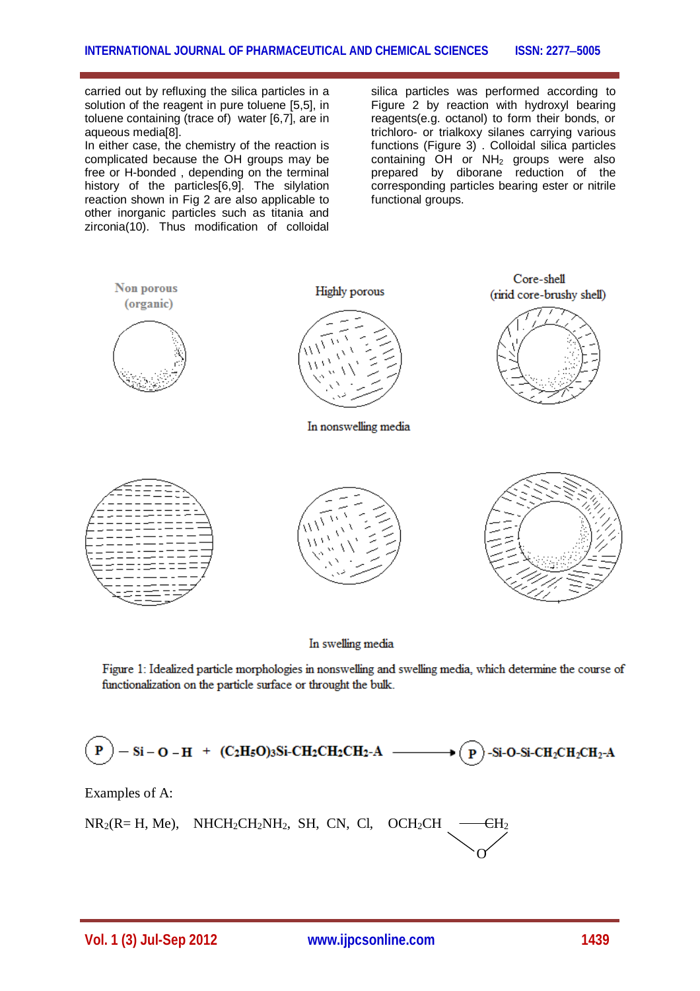carried out by refluxing the silica particles in a solution of the reagent in pure toluene [5,5], in toluene containing (trace of) water [6,7], are in aqueous media[8].

In either case, the chemistry of the reaction is complicated because the OH groups may be free or H-bonded , depending on the terminal history of the particles[6,9]. The silylation reaction shown in Fig 2 are also applicable to other inorganic particles such as titania and zirconia(10). Thus modification of colloidal

silica particles was performed according to Figure 2 by reaction with hydroxyl bearing reagents(e.g. octanol) to form their bonds, or trichloro- or trialkoxy silanes carrying various functions (Figure 3) . Colloidal silica particles containing  $OH$  or  $NH<sub>2</sub>$  groups were also prepared by diborane reduction of the corresponding particles bearing ester or nitrile functional groups.



In swelling media

Figure 1: Idealized particle morphologies in nonswelling and swelling media, which determine the course of functionalization on the particle surface or throught the bulk.

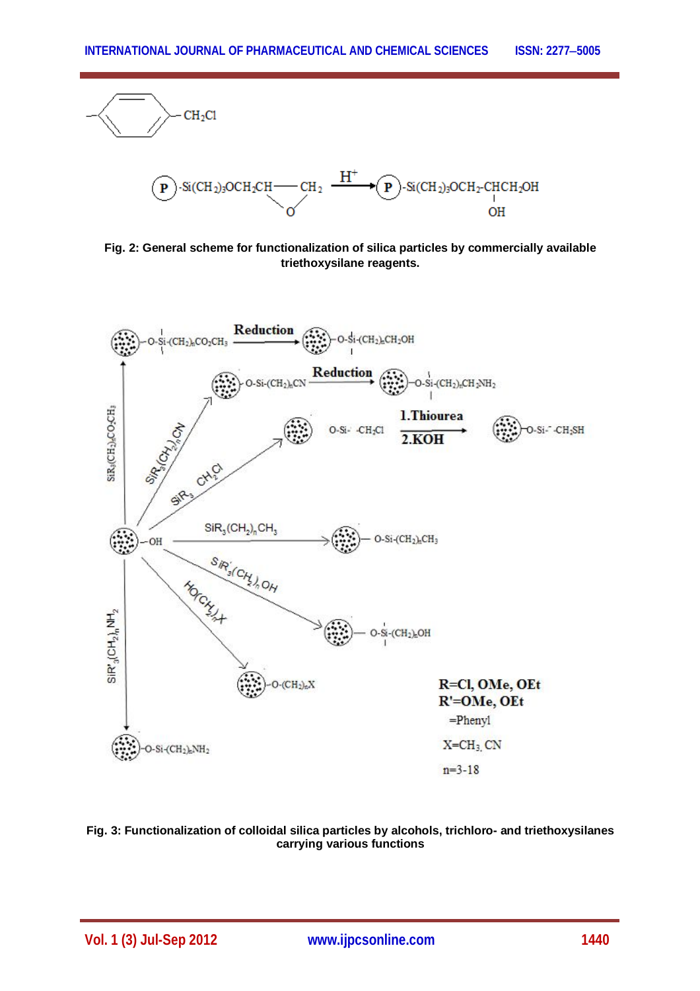

**Fig. 2: General scheme for functionalization of silica particles by commercially available triethoxysilane reagents.**



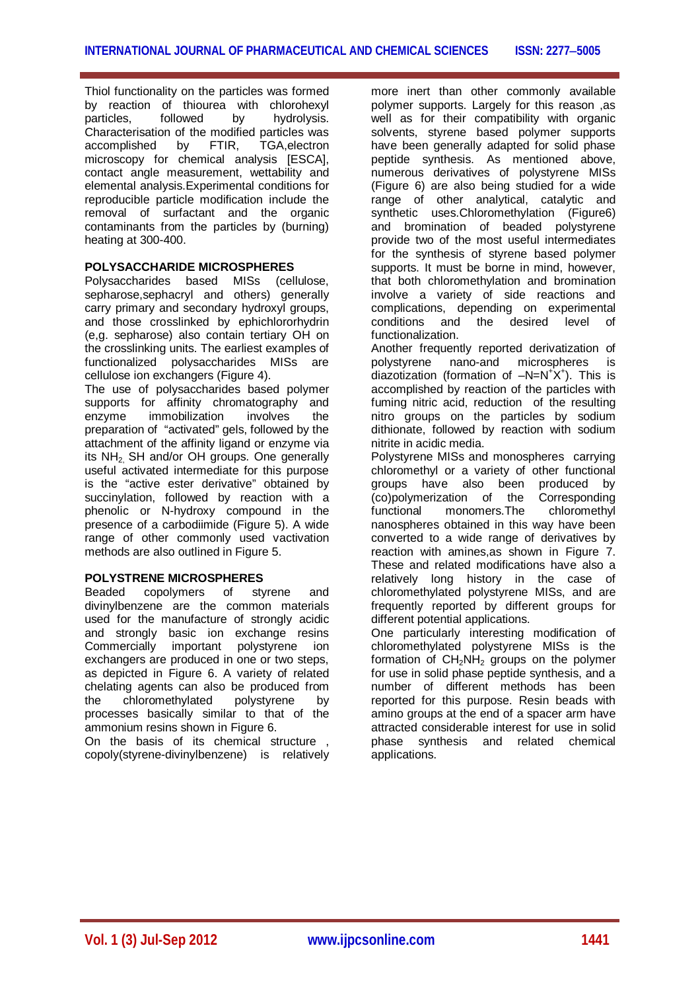Thiol functionality on the particles was formed by reaction of thiourea with chlorohexyl particles, followed by hydrolysis. Characterisation of the modified particles was accomplished by FTIR, TGA,electron microscopy for chemical analysis [ESCA], contact angle measurement, wettability and elemental analysis.Experimental conditions for reproducible particle modification include the removal of surfactant and the organic contaminants from the particles by (burning) heating at 300-400.

# **POLYSACCHARIDE MICROSPHERES**

Polysaccharides based MISs (cellulose, sepharose, sephacryl and others) generally carry primary and secondary hydroxyl groups, and those crosslinked by ephichlororhydrin (e,g. sepharose) also contain tertiary OH on the crosslinking units. The earliest examples of functionalized polysaccharides MISs are cellulose ion exchangers (Figure 4).

The use of polysaccharides based polymer supports for affinity chromatography and enzyme immobilization involves the preparation of "activated" gels, followed by the attachment of the affinity ligand or enzyme via its NH<sub>2</sub>. SH and/or OH groups. One generally useful activated intermediate for this purpose is the "active ester derivative" obtained by succinylation, followed by reaction with a phenolic or N-hydroxy compound in the presence of a carbodiimide (Figure 5). A wide range of other commonly used vactivation methods are also outlined in Figure 5.

# **POLYSTRENE MICROSPHERES**

Beaded copolymers of styrene and divinylbenzene are the common materials used for the manufacture of strongly acidic and strongly basic ion exchange resins Commercially important polystyrene ion exchangers are produced in one or two steps, as depicted in Figure 6. A variety of related chelating agents can also be produced from<br>the chloromethylated polystyrene by the chloromethylated polystyrene by processes basically similar to that of the ammonium resins shown in Figure 6.

On the basis of its chemical structure , copoly(styrene-divinylbenzene) is relatively more inert than other commonly available polymer supports. Largely for this reason ,as well as for their compatibility with organic solvents, styrene based polymer supports have been generally adapted for solid phase peptide synthesis. As mentioned above, numerous derivatives of polystyrene MISs (Figure 6) are also being studied for a wide range of other analytical, catalytic and synthetic uses.Chloromethylation (Figure6) and bromination of beaded polystyrene provide two of the most useful intermediates for the synthesis of styrene based polymer supports. It must be borne in mind, however, that both chloromethylation and bromination involve a variety of side reactions and complications, depending on experimental conditions and the desired level of functionalization.

Another frequently reported derivatization of polystyrene nano-and microspheres is diazotization (formation of  $-N=N^+X^+$ ). This is accomplished by reaction of the particles with fuming nitric acid, reduction of the resulting nitro groups on the particles by sodium dithionate, followed by reaction with sodium nitrite in acidic media.

Polystyrene MISs and monospheres carrying chloromethyl or a variety of other functional groups have also been produced by (co)polymerization of the Corresponding functional monomers.The chloromethyl nanospheres obtained in this way have been converted to a wide range of derivatives by reaction with amines,as shown in Figure 7. These and related modifications have also a relatively long history in the case of chloromethylated polystyrene MISs, and are frequently reported by different groups for different potential applications.

One particularly interesting modification of chloromethylated polystyrene MISs is the formation of  $CH<sub>2</sub>NH<sub>2</sub>$  groups on the polymer for use in solid phase peptide synthesis, and a number of different methods has been reported for this purpose. Resin beads with amino groups at the end of a spacer arm have attracted considerable interest for use in solid<br>phase synthesis and related chemical and related chemical applications.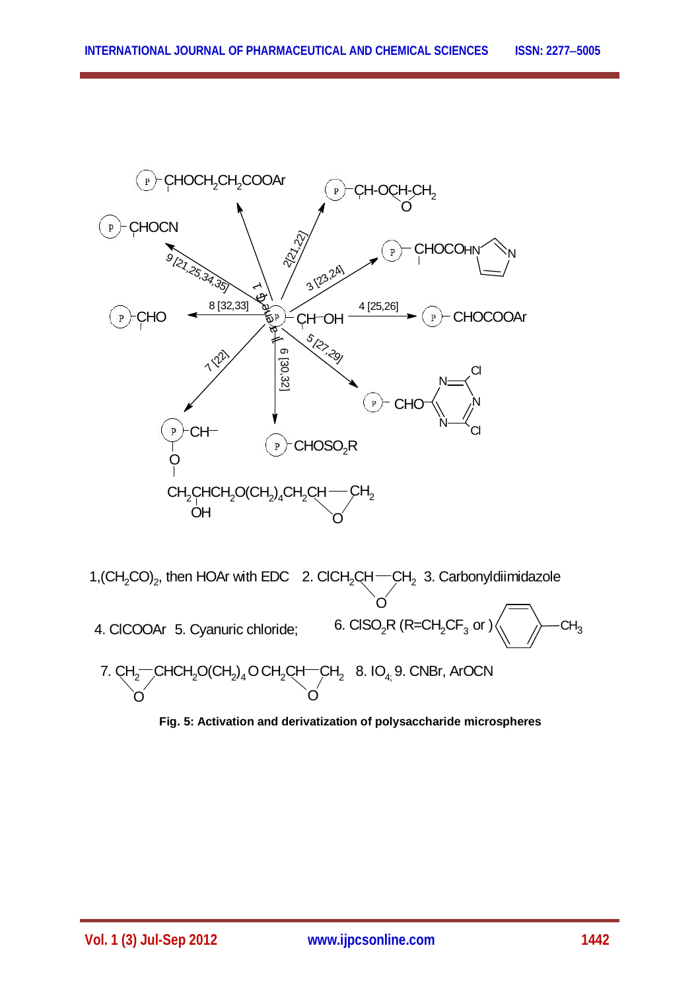

**Fig. 5: Activation and derivatization of polysaccharide microspheres**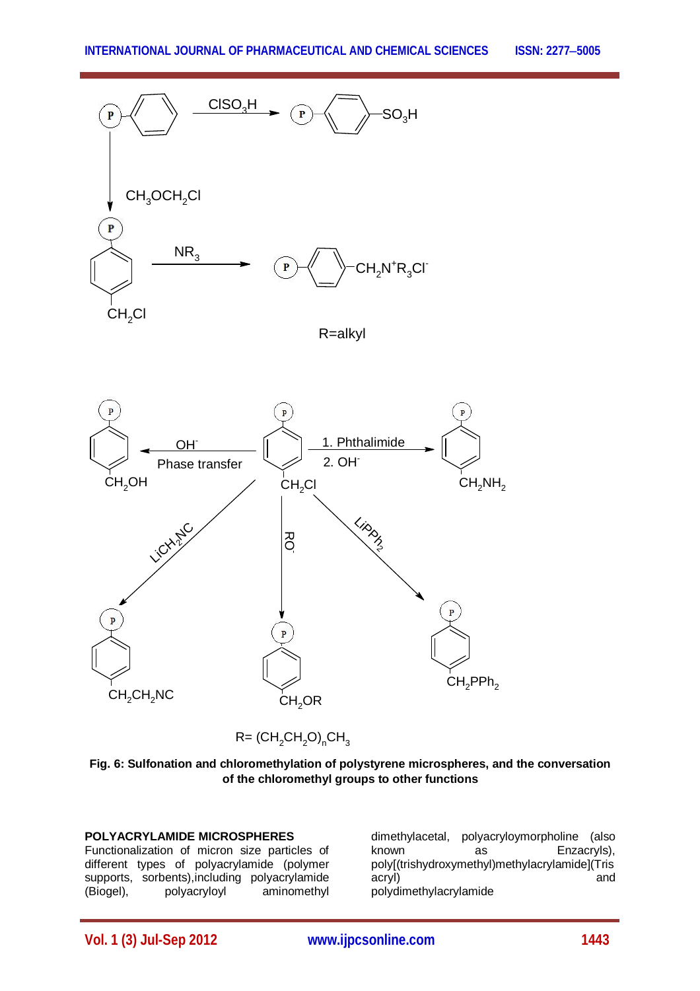

R=alkyl



 $R = (CH<sub>2</sub>CH<sub>2</sub>O)<sub>n</sub>CH<sub>3</sub>$ 



#### **POLYACRYLAMIDE MICROSPHERES**

Functionalization of micron size particles of different types of polyacrylamide (polymer supports, sorbents),including polyacrylamide (Biogel), polyacryloyl aminomethyl

dimethylacetal, polyacryloymorpholine (also as Enzacryls), poly[(trishydroxymethyl)methylacrylamide](Tris acryl) and polydimethylacrylamide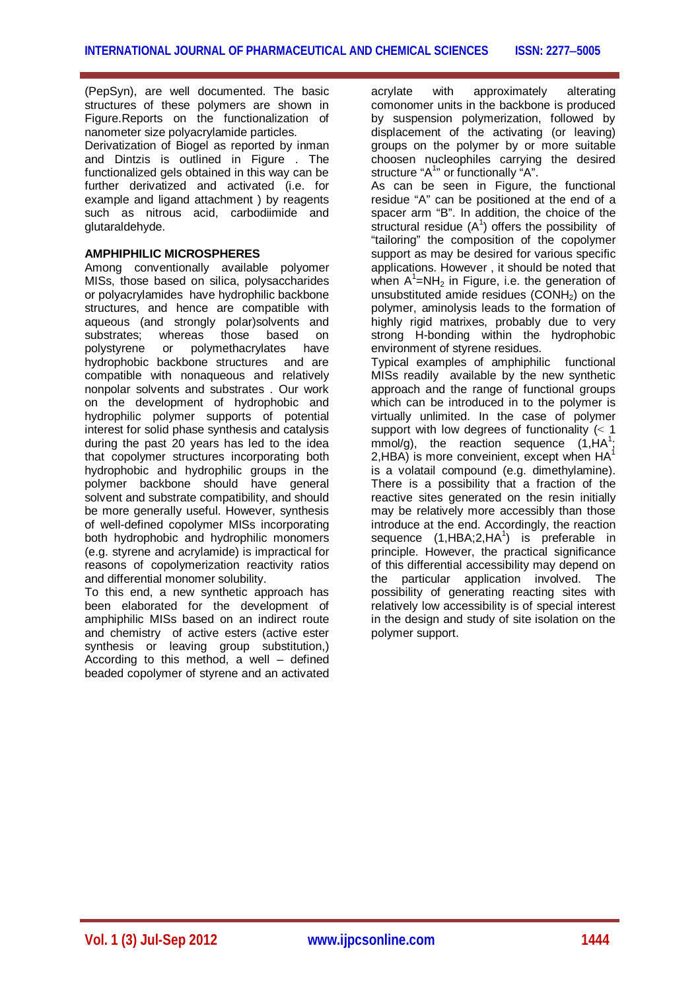(PepSyn), are well documented. The basic structures of these polymers are shown in Figure.Reports on the functionalization of nanometer size polyacrylamide particles. Derivatization of Biogel as reported by inman and Dintzis is outlined in Figure . The functionalized gels obtained in this way can be further derivatized and activated (i.e. for example and ligand attachment ) by reagents such as nitrous acid, carbodiimide and glutaraldehyde.

# **AMPHIPHILIC MICROSPHERES**

Among conventionally available polyomer MISs, those based on silica, polysaccharides or polyacrylamides have hydrophilic backbone structures, and hence are compatible with aqueous (and strongly polar)solvents and substrates; whereas those based on polystyrene or polymethacrylates have hydrophobic backbone structures and are compatible with nonaqueous and relatively nonpolar solvents and substrates . Our work on the development of hydrophobic and hydrophilic polymer supports of potential interest for solid phase synthesis and catalysis during the past 20 years has led to the idea that copolymer structures incorporating both hydrophobic and hydrophilic groups in the polymer backbone should have general solvent and substrate compatibility, and should be more generally useful. However, synthesis of well-defined copolymer MISs incorporating both hydrophobic and hydrophilic monomers (e.g. styrene and acrylamide) is impractical for reasons of copolymerization reactivity ratios and differential monomer solubility.

To this end, a new synthetic approach has been elaborated for the development of amphiphilic MISs based on an indirect route and chemistry of active esters (active ester synthesis or leaving group substitution,) According to this method, a well – defined beaded copolymer of styrene and an activated

acrylate with approximately alterating comonomer units in the backbone is produced by suspension polymerization, followed by displacement of the activating (or leaving) groups on the polymer by or more suitable choosen nucleophiles carrying the desired structure "A<sup>1</sup>" or functionally "A".

As can be seen in Figure, the functional residue "A" can be positioned at the end of a spacer arm "B". In addition, the choice of the structural residue  $(A^1)$  offers the possibility of "tailoring" the composition of the copolymer support as may be desired for various specific applications. However , it should be noted that when  $A^1$ =NH<sub>2</sub> in Figure, i.e. the generation of unsubstituted amide residues  $(CONH<sub>2</sub>)$  on the polymer, aminolysis leads to the formation of highly rigid matrixes, probably due to very strong H-bonding within the hydrophobic environment of styrene residues.

Typical examples of amphiphilic functional MISs readily available by the new synthetic approach and the range of functional groups which can be introduced in to the polymer is virtually unlimited. In the case of polymer support with low degrees of functionality  $(< 1$  $mmol/g$ ), the reaction sequence  $(1,HA^1)$ ;  $2,$ HBA) is more conveinient, except when  $HA^1$ is a volatail compound (e.g. dimethylamine). There is a possibility that a fraction of the reactive sites generated on the resin initially may be relatively more accessibly than those introduce at the end. Accordingly, the reaction sequence  $(1, HBA; 2, HA^1)$  is preferable in principle. However, the practical significance of this differential accessibility may depend on the particular application involved. The possibility of generating reacting sites with relatively low accessibility is of special interest in the design and study of site isolation on the polymer support.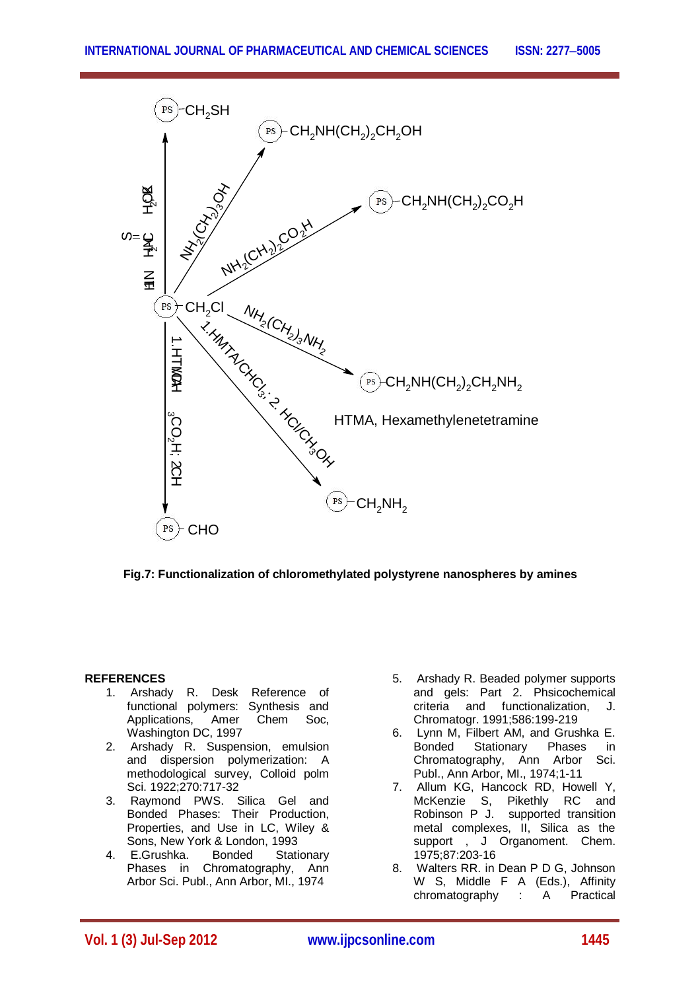

**Fig.7: Functionalization of chloromethylated polystyrene nanospheres by amines**

# **REFERENCES**

- 1. Arshady R. Desk Reference of functional polymers: Synthesis and Applications, Amer Chem Soc, Washington DC, 1997
- 2. Arshady R. Suspension, emulsion and dispersion polymerization: A methodological survey, Colloid polm Sci. 1922;270:717-32
- 3. Raymond PWS. Silica Gel and Bonded Phases: Their Production, Properties, and Use in LC, Wiley & Sons, New York & London, 1993<br>E.Grushka. Bonded Stati
- 4. E.Grushka. Bonded Stationary Phases in Chromatography, Ann Arbor Sci. Publ., Ann Arbor, MI., 1974
- 5. Arshady R. Beaded polymer supports and gels: Part 2. Phsicochemical criteria and functionalization, J. Chromatogr. 1991;586:199-219
- 6. Lynn M, Filbert AM, and Grushka E. Bonded Stationary Phases in Chromatography, Ann Arbor Sci. Publ., Ann Arbor, MI., 1974;1-11
- 7. Allum KG, Hancock RD, Howell Y, McKenzie S, Pikethly RC and Robinson P J. supported transition metal complexes, II, Silica as the support, J Organoment. Chem. 1975;87:203-16
- 8. Walters RR. in Dean P D G, Johnson W S, Middle F A (Eds.), Affinity chromatography : A Practical